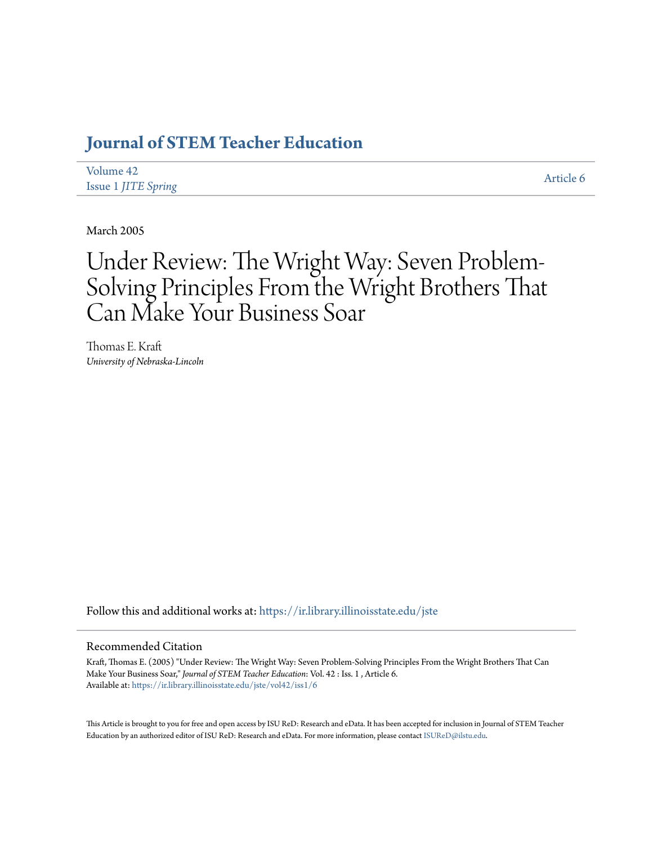# **[Journal of STEM Teacher Education](https://ir.library.illinoisstate.edu/jste?utm_source=ir.library.illinoisstate.edu%2Fjste%2Fvol42%2Fiss1%2F6&utm_medium=PDF&utm_campaign=PDFCoverPages)**

| Volume 42                  | Article 6 |
|----------------------------|-----------|
| <b>Issue 1 JITE Spring</b> |           |

March 2005

# Under Review: The Wright Way: Seven Problem-Solving Principles From the Wright Brothers That Can Make Your Business Soar

Thomas E. Kraft *University of Nebraska-Lincoln*

Follow this and additional works at: [https://ir.library.illinoisstate.edu/jste](https://ir.library.illinoisstate.edu/jste?utm_source=ir.library.illinoisstate.edu%2Fjste%2Fvol42%2Fiss1%2F6&utm_medium=PDF&utm_campaign=PDFCoverPages)

## Recommended Citation

Kraft, Thomas E. (2005) "Under Review: The Wright Way: Seven Problem-Solving Principles From the Wright Brothers That Can Make Your Business Soar," *Journal of STEM Teacher Education*: Vol. 42 : Iss. 1 , Article 6. Available at: [https://ir.library.illinoisstate.edu/jste/vol42/iss1/6](https://ir.library.illinoisstate.edu/jste/vol42/iss1/6?utm_source=ir.library.illinoisstate.edu%2Fjste%2Fvol42%2Fiss1%2F6&utm_medium=PDF&utm_campaign=PDFCoverPages)

This Article is brought to you for free and open access by ISU ReD: Research and eData. It has been accepted for inclusion in Journal of STEM Teacher Education by an authorized editor of ISU ReD: Research and eData. For more information, please contact [ISUReD@ilstu.edu.](mailto:ISUReD@ilstu.edu)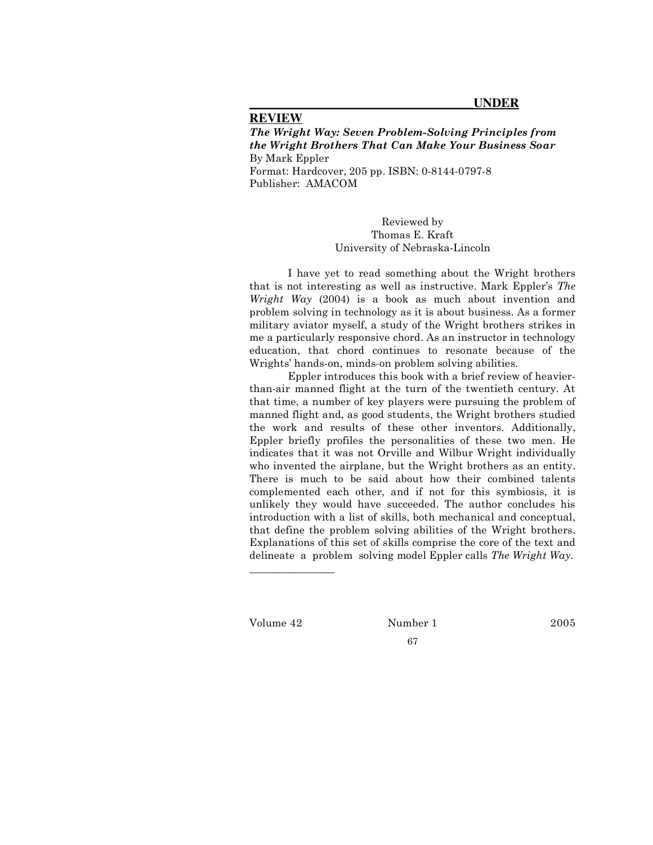### **REVIEW**

*The Wright Way: Seven Problem-Solving Principles from the Wright Brothers That Can Make Your Business Soar* By Mark Eppler Format: Hardcover, 205 pp. ISBN: 0-8144-0797-8 Publisher: AMACOM

> Reviewed by Thomas E. Kraft University of Nebraska-Lincoln

I have yet to read something about the Wright brothers that is not interesting as well as instructive. Mark Eppler's *The Wright Way* (2004) is a book as much about invention and problem solving in technology as it is about business. As a former military aviator myself, a study of the Wright brothers strikes in me a particularly responsive chord. As an instructor in technology education, that chord continues to resonate because of the Wrights' hands-on, minds-on problem solving abilities.

Eppler introduces this book with a brief review of heavierthan-air manned flight at the turn of the twentieth century. At that time, a number of key players were pursuing the problem of manned flight and, as good students, the Wright brothers studied the work and results of these other inventors. Additionally, Eppler briefly profiles the personalities of these two men. He indicates that it was not Orville and Wilbur Wright individually who invented the airplane, but the Wright brothers as an entity. There is much to be said about how their combined talents complemented each other, and if not for this symbiosis, it is unlikely they would have succeeded. The author concludes his introduction with a list of skills, both mechanical and conceptual, that define the problem solving abilities of the Wright brothers. Explanations of this set of skills comprise the core of the text and delineate a problem solving model Eppler calls *The Wright Way.*

\_\_\_\_\_\_\_\_\_\_\_\_\_\_\_\_

Volume 42 Number 1 2005

67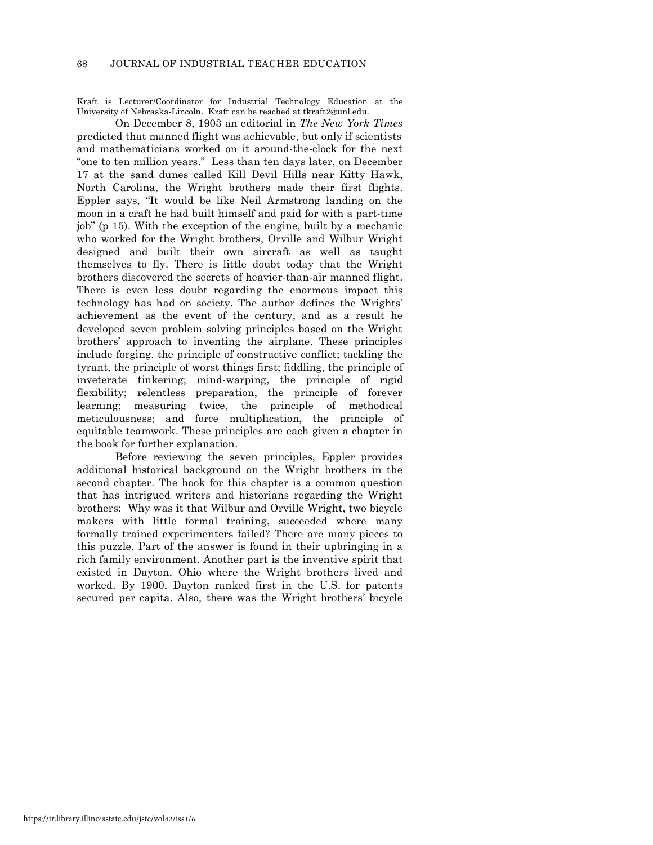Kraft is Lecturer/Coordinator for Industrial Technology Education at the University of Nebraska-Lincoln. Kraft can be reached at tkraft2@unl.edu.

On December 8, 1903 an editorial in *The New York Times* predicted that manned flight was achievable, but only if scientists and mathematicians worked on it around-the-clock for the next "one to ten million years." Less than ten days later, on December 17 at the sand dunes called Kill Devil Hills near Kitty Hawk, North Carolina, the Wright brothers made their first flights. Eppler says, "It would be like Neil Armstrong landing on the moon in a craft he had built himself and paid for with a part-time job" (p 15). With the exception of the engine, built by a mechanic who worked for the Wright brothers, Orville and Wilbur Wright designed and built their own aircraft as well as taught themselves to fly. There is little doubt today that the Wright brothers discovered the secrets of heavier-than-air manned flight. There is even less doubt regarding the enormous impact this technology has had on society. The author defines the Wrights' achievement as the event of the century, and as a result he developed seven problem solving principles based on the Wright brothers' approach to inventing the airplane. These principles include forging, the principle of constructive conflict; tackling the tyrant, the principle of worst things first; fiddling, the principle of inveterate tinkering; mind-warping, the principle of rigid flexibility; relentless preparation, the principle of forever learning; measuring twice, the principle of methodical meticulousness; and force multiplication, the principle of equitable teamwork. These principles are each given a chapter in the book for further explanation.

Before reviewing the seven principles, Eppler provides additional historical background on the Wright brothers in the second chapter. The hook for this chapter is a common question that has intrigued writers and historians regarding the Wright brothers: Why was it that Wilbur and Orville Wright, two bicycle makers with little formal training, succeeded where many formally trained experimenters failed? There are many pieces to this puzzle. Part of the answer is found in their upbringing in a rich family environment. Another part is the inventive spirit that existed in Dayton, Ohio where the Wright brothers lived and worked. By 1900, Dayton ranked first in the U.S. for patents secured per capita. Also, there was the Wright brothers' bicycle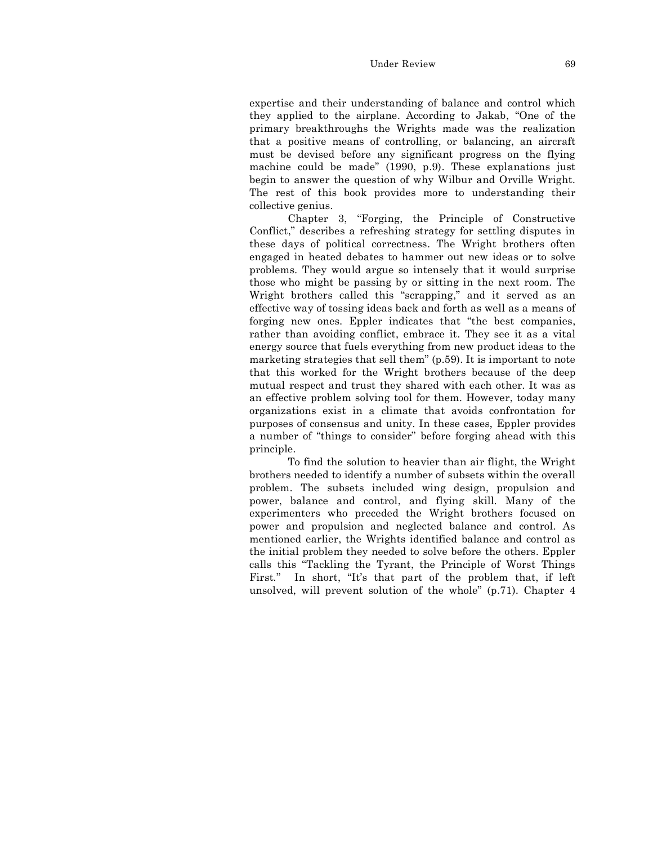#### Under Review 69

expertise and their understanding of balance and control which they applied to the airplane. According to Jakab, "One of the primary breakthroughs the Wrights made was the realization that a positive means of controlling, or balancing, an aircraft must be devised before any significant progress on the flying machine could be made" (1990, p.9). These explanations just begin to answer the question of why Wilbur and Orville Wright. The rest of this book provides more to understanding their collective genius.

Chapter 3, "Forging, the Principle of Constructive Conflict," describes a refreshing strategy for settling disputes in these days of political correctness. The Wright brothers often engaged in heated debates to hammer out new ideas or to solve problems. They would argue so intensely that it would surprise those who might be passing by or sitting in the next room. The Wright brothers called this "scrapping," and it served as an effective way of tossing ideas back and forth as well as a means of forging new ones. Eppler indicates that "the best companies, rather than avoiding conflict, embrace it. They see it as a vital energy source that fuels everything from new product ideas to the marketing strategies that sell them" (p.59). It is important to note that this worked for the Wright brothers because of the deep mutual respect and trust they shared with each other. It was as an effective problem solving tool for them. However, today many organizations exist in a climate that avoids confrontation for purposes of consensus and unity. In these cases, Eppler provides a number of "things to consider" before forging ahead with this principle.

To find the solution to heavier than air flight, the Wright brothers needed to identify a number of subsets within the overall problem. The subsets included wing design, propulsion and power, balance and control, and flying skill. Many of the experimenters who preceded the Wright brothers focused on power and propulsion and neglected balance and control. As mentioned earlier, the Wrights identified balance and control as the initial problem they needed to solve before the others. Eppler calls this "Tackling the Tyrant, the Principle of Worst Things First." In short, "It's that part of the problem that, if left unsolved, will prevent solution of the whole" (p.71). Chapter 4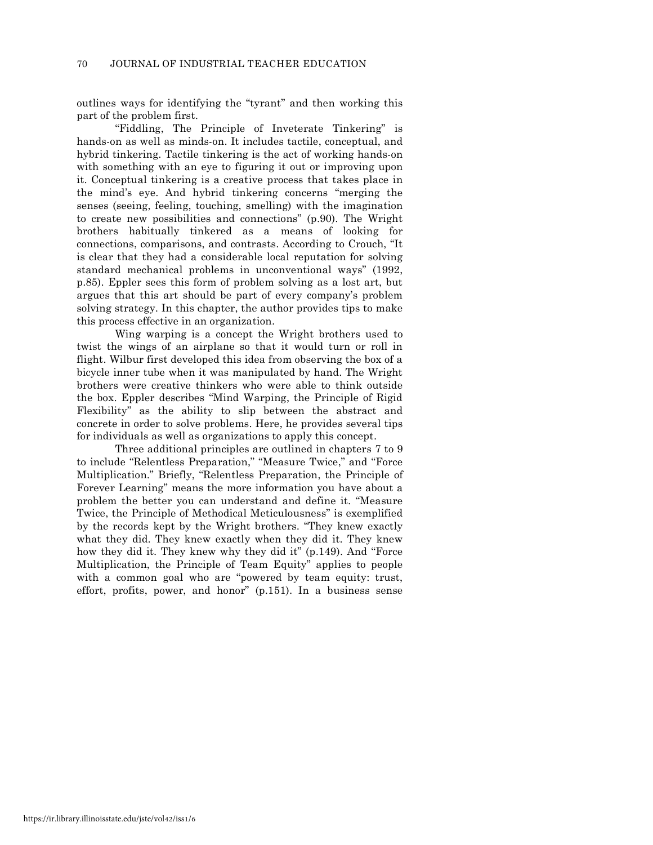outlines ways for identifying the "tyrant" and then working this part of the problem first.

"Fiddling, The Principle of Inveterate Tinkering" is hands-on as well as minds-on. It includes tactile, conceptual, and hybrid tinkering. Tactile tinkering is the act of working hands-on with something with an eye to figuring it out or improving upon it. Conceptual tinkering is a creative process that takes place in the mind's eye. And hybrid tinkering concerns "merging the senses (seeing, feeling, touching, smelling) with the imagination to create new possibilities and connections" (p.90). The Wright brothers habitually tinkered as a means of looking for connections, comparisons, and contrasts. According to Crouch, "It is clear that they had a considerable local reputation for solving standard mechanical problems in unconventional ways" (1992, p.85). Eppler sees this form of problem solving as a lost art, but argues that this art should be part of every company's problem solving strategy. In this chapter, the author provides tips to make this process effective in an organization.

Wing warping is a concept the Wright brothers used to twist the wings of an airplane so that it would turn or roll in flight. Wilbur first developed this idea from observing the box of a bicycle inner tube when it was manipulated by hand. The Wright brothers were creative thinkers who were able to think outside the box. Eppler describes "Mind Warping, the Principle of Rigid Flexibility" as the ability to slip between the abstract and concrete in order to solve problems. Here, he provides several tips for individuals as well as organizations to apply this concept.

Three additional principles are outlined in chapters 7 to 9 to include "Relentless Preparation," "Measure Twice," and "Force Multiplication." Briefly, "Relentless Preparation, the Principle of Forever Learning" means the more information you have about a problem the better you can understand and define it. "Measure Twice, the Principle of Methodical Meticulousness" is exemplified by the records kept by the Wright brothers. "They knew exactly what they did. They knew exactly when they did it. They knew how they did it. They knew why they did it" (p.149). And "Force Multiplication, the Principle of Team Equity" applies to people with a common goal who are "powered by team equity: trust, effort, profits, power, and honor" (p.151). In a business sense